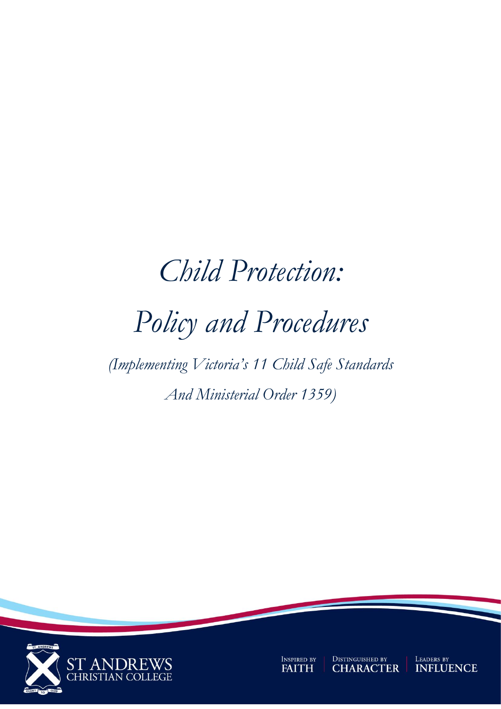# *Child Protection: Policy and Procedures*

*(Implementing Victoria's 11 Child Safe Standards And Ministerial Order 1359)*



INSPIRED BY **FAITH** 

**DISTINGUISHED BY<br>CHARACTER** 

LEADERS BY<br>**INFLUENCE**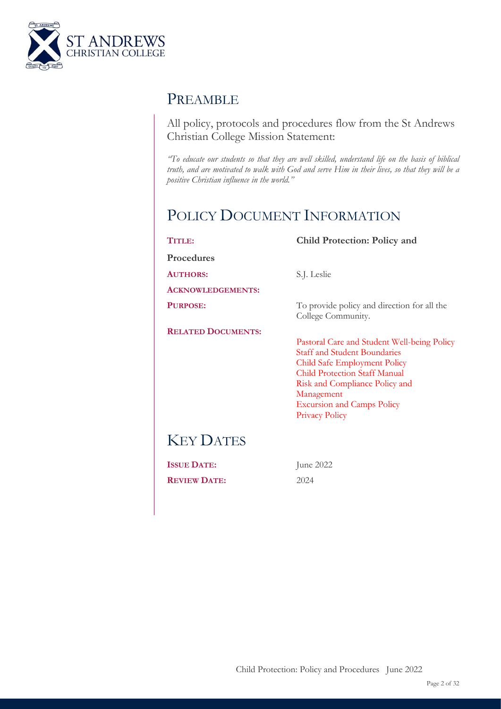

# PREAMBLE

All policy, protocols and procedures flow from the St Andrews Christian College Mission Statement:

*"To educate our students so that they are well skilled, understand life on the basis of biblical truth, and are motivated to walk with God and serve Him in their lives, so that they will be a positive Christian influence in the world."*

# POLICY DOCUMENT INFORMATION

| TITLE:                    | <b>Child Protection: Policy and</b>                                                                                                                                                                                                                               |  |
|---------------------------|-------------------------------------------------------------------------------------------------------------------------------------------------------------------------------------------------------------------------------------------------------------------|--|
| <b>Procedures</b>         |                                                                                                                                                                                                                                                                   |  |
| <b>AUTHORS:</b>           | S.J. Leslie                                                                                                                                                                                                                                                       |  |
| <b>ACKNOWLEDGEMENTS:</b>  |                                                                                                                                                                                                                                                                   |  |
| PURPOSE:                  | To provide policy and direction for all the<br>College Community.                                                                                                                                                                                                 |  |
| <b>RELATED DOCUMENTS:</b> | Pastoral Care and Student Well-being Policy<br><b>Staff and Student Boundaries</b><br>Child Safe Employment Policy<br>Child Protection Staff Manual<br>Risk and Compliance Policy and<br>Management<br><b>Excursion and Camps Policy</b><br><b>Privacy Policy</b> |  |
| <b>KEY DATES</b>          |                                                                                                                                                                                                                                                                   |  |
| <b>ISSUE DATE:</b>        | June 2022                                                                                                                                                                                                                                                         |  |
| <b>REVIEW DATE:</b>       | 2024                                                                                                                                                                                                                                                              |  |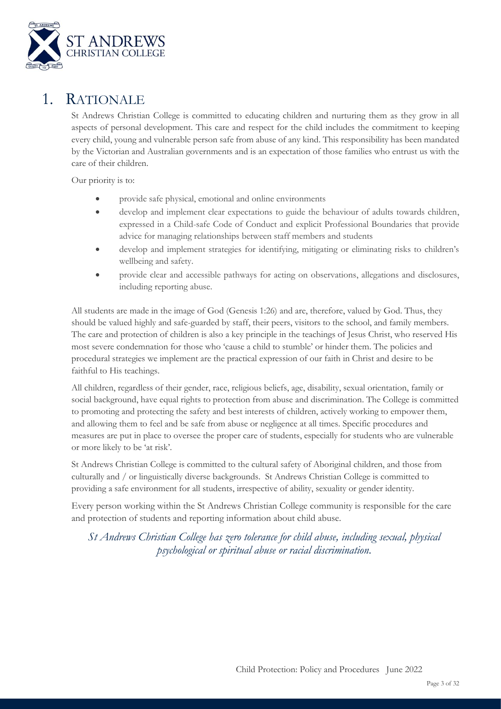

# 1. RATIONALE

St Andrews Christian College is committed to educating children and nurturing them as they grow in all aspects of personal development. This care and respect for the child includes the commitment to keeping every child, young and vulnerable person safe from abuse of any kind. This responsibility has been mandated by the Victorian and Australian governments and is an expectation of those families who entrust us with the care of their children.

Our priority is to:

- provide safe physical, emotional and online environments
- develop and implement clear expectations to guide the behaviour of adults towards children, expressed in a Child-safe Code of Conduct and explicit Professional Boundaries that provide advice for managing relationships between staff members and students
- develop and implement strategies for identifying, mitigating or eliminating risks to children's wellbeing and safety.
- provide clear and accessible pathways for acting on observations, allegations and disclosures, including reporting abuse.

All students are made in the image of God (Genesis 1:26) and are, therefore, valued by God. Thus, they should be valued highly and safe-guarded by staff, their peers, visitors to the school, and family members. The care and protection of children is also a key principle in the teachings of Jesus Christ, who reserved His most severe condemnation for those who 'cause a child to stumble' or hinder them. The policies and procedural strategies we implement are the practical expression of our faith in Christ and desire to be faithful to His teachings.

All children, regardless of their gender, race, religious beliefs, age, disability, sexual orientation, family or social background, have equal rights to protection from abuse and discrimination. The College is committed to promoting and protecting the safety and best interests of children, actively working to empower them, and allowing them to feel and be safe from abuse or negligence at all times. Specific procedures and measures are put in place to oversee the proper care of students, especially for students who are vulnerable or more likely to be 'at risk'.

St Andrews Christian College is committed to the cultural safety of Aboriginal children, and those from culturally and / or linguistically diverse backgrounds. St Andrews Christian College is committed to providing a safe environment for all students, irrespective of ability, sexuality or gender identity.

Every person working within the St Andrews Christian College community is responsible for the care and protection of students and reporting information about child abuse.

*St Andrews Christian College has zero tolerance for child abuse, including sexual, physical psychological or spiritual abuse or racial discrimination.*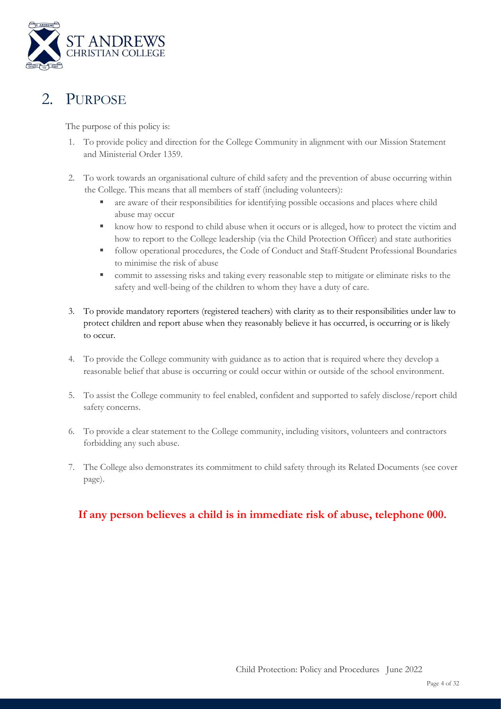

# 2. PURPOSE

The purpose of this policy is:

- 1. To provide policy and direction for the College Community in alignment with our Mission Statement and Ministerial Order 1359.
- 2. To work towards an organisational culture of child safety and the prevention of abuse occurring within the College. This means that all members of staff (including volunteers):
	- are aware of their responsibilities for identifying possible occasions and places where child abuse may occur
	- know how to respond to child abuse when it occurs or is alleged, how to protect the victim and how to report to the College leadership (via the Child Protection Officer) and state authorities
	- follow operational procedures, the Code of Conduct and Staff-Student Professional Boundaries to minimise the risk of abuse
	- **•** commit to assessing risks and taking every reasonable step to mitigate or eliminate risks to the safety and well-being of the children to whom they have a duty of care.
- 3. To provide mandatory reporters (registered teachers) with clarity as to their responsibilities under law to protect children and report abuse when they reasonably believe it has occurred, is occurring or is likely to occur.
- 4. To provide the College community with guidance as to action that is required where they develop a reasonable belief that abuse is occurring or could occur within or outside of the school environment.
- 5. To assist the College community to feel enabled, confident and supported to safely disclose/report child safety concerns.
- 6. To provide a clear statement to the College community, including visitors, volunteers and contractors forbidding any such abuse.
- 7. The College also demonstrates its commitment to child safety through its Related Documents (see cover page).

### **If any person believes a child is in immediate risk of abuse, telephone 000.**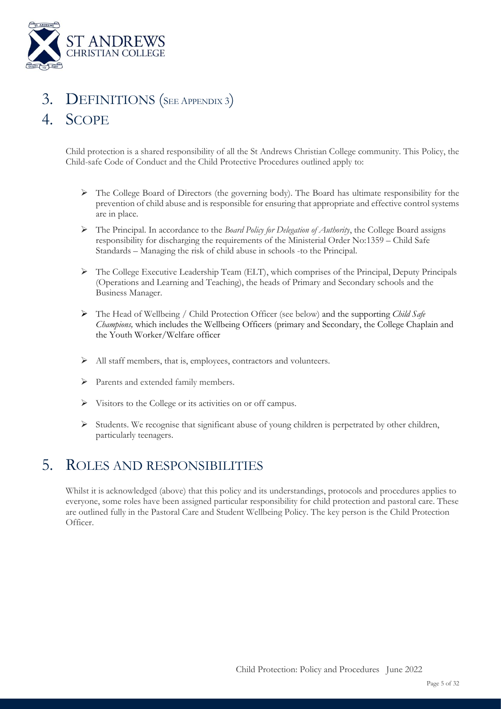

# DEFINITIONS (SEE APPENDIX 3)

# 4. SCOPE

Child protection is a shared responsibility of all the St Andrews Christian College community. This Policy, the Child-safe Code of Conduct and the Child Protective Procedures outlined apply to:

- ➢ The College Board of Directors (the governing body). The Board has ultimate responsibility for the prevention of child abuse and is responsible for ensuring that appropriate and effective control systems are in place.
- ➢ The Principal. In accordance to the *Board Policy for Delegation of Authority*, the College Board assigns responsibility for discharging the requirements of the Ministerial Order No:1359 – Child Safe Standards – Managing the risk of child abuse in schools -to the Principal.
- ➢ The College Executive Leadership Team (ELT), which comprises of the Principal, Deputy Principals (Operations and Learning and Teaching), the heads of Primary and Secondary schools and the Business Manager.
- ➢ The Head of Wellbeing / Child Protection Officer (see below) and the supporting *Child Safe Champions,* which includes the Wellbeing Officers (primary and Secondary, the College Chaplain and the Youth Worker/Welfare officer
- ➢ All staff members, that is, employees, contractors and volunteers.
- ➢ Parents and extended family members.
- ➢ Visitors to the College or its activities on or off campus.
- $\triangleright$  Students. We recognise that significant abuse of young children is perpetrated by other children, particularly teenagers.

# 5. ROLES AND RESPONSIBILITIES

Whilst it is acknowledged (above) that this policy and its understandings, protocols and procedures applies to everyone, some roles have been assigned particular responsibility for child protection and pastoral care. These are outlined fully in the Pastoral Care and Student Wellbeing Policy. The key person is the Child Protection Officer.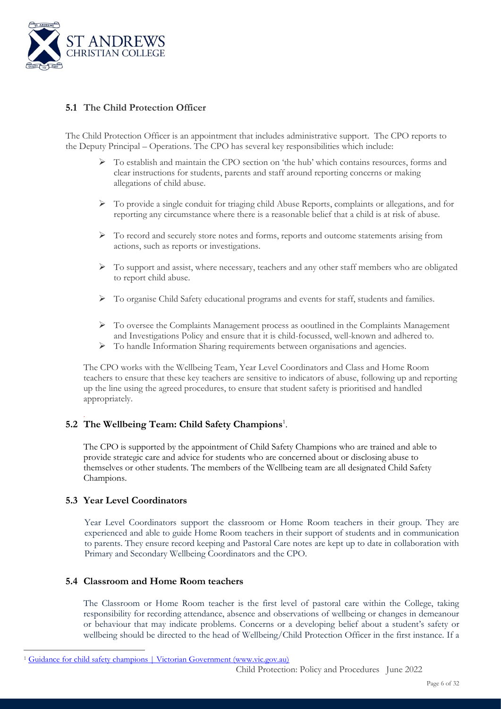

### **5.1 The Child Protection Officer**

The Child Protection Officer is an appointment that includes administrative support. The CPO reports to the Deputy Principal – Operations. The CPO has several key responsibilities which include:

- ➢ To establish and maintain the CPO section on 'the hub' which contains resources, forms and clear instructions for students, parents and staff around reporting concerns or making allegations of child abuse.
- $\triangleright$  To provide a single conduit for triaging child Abuse Reports, complaints or allegations, and for reporting any circumstance where there is a reasonable belief that a child is at risk of abuse.
- $\triangleright$  To record and securely store notes and forms, reports and outcome statements arising from actions, such as reports or investigations.
- $\triangleright$  To support and assist, where necessary, teachers and any other staff members who are obligated to report child abuse.
- ➢ To organise Child Safety educational programs and events for staff, students and families.
- ➢ To oversee the Complaints Management process as ooutlined in the Complaints Management and Investigations Policy and ensure that it is child-focussed, well-known and adhered to.
- ➢ To handle Information Sharing requirements between organisations and agencies.

The CPO works with the Wellbeing Team, Year Level Coordinators and Class and Home Room teachers to ensure that these key teachers are sensitive to indicators of abuse, following up and reporting up the line using the agreed procedures, to ensure that student safety is prioritised and handled appropriately.

### . 5.2 The Wellbeing Team: Child Safety Champions<sup>1</sup>.

The CPO is supported by the appointment of Child Safety Champions who are trained and able to provide strategic care and advice for students who are concerned about or disclosing abuse to themselves or other students. The members of the Wellbeing team are all designated Child Safety Champions.

### **5.3 Year Level Coordinators**

Year Level Coordinators support the classroom or Home Room teachers in their group. They are experienced and able to guide Home Room teachers in their support of students and in communication to parents. They ensure record keeping and Pastoral Care notes are kept up to date in collaboration with Primary and Secondary Wellbeing Coordinators and the CPO.

### **5.4 Classroom and Home Room teachers**

The Classroom or Home Room teacher is the first level of pastoral care within the College, taking responsibility for recording attendance, absence and observations of wellbeing or changes in demeanour or behaviour that may indicate problems. Concerns or a developing belief about a student's safety or wellbeing should be directed to the head of Wellbeing/Child Protection Officer in the first instance. If a

<sup>1</sup> [Guidance for child safety champions | Victorian Government \(www.vic.gov.au\)](https://www.vic.gov.au/guidance-child-safety-champions)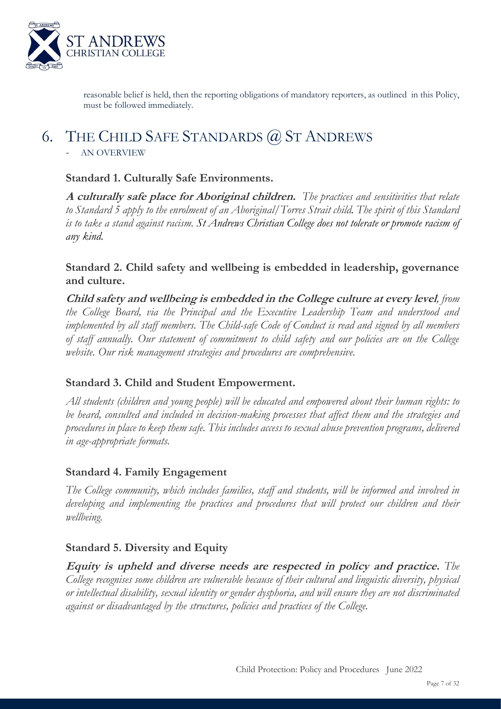

reasonable belief is held, then the reporting obligations of mandatory reporters, as outlined in this Policy, must be followed immediately.

# 6. THE CHILD SAFE STANDARDS @ ST ANDREWS

### - AN OVERVIEW

### **Standard 1. Culturally Safe Environments.**

**A culturally safe place for Aboriginal children.** *The practices and sensitivities that relate to Standard 5 apply to the enrolment of an Aboriginal/Torres Strait child. The spirit of this Standard is to take a stand against racism. St Andrews Christian College does not tolerate or promote racism of any kind.*

### **Standard 2. Child safety and wellbeing is embedded in leadership, governance and culture.**

**Child safety and wellbeing is embedded in the College culture at every level***, from the College Board, via the Principal and the Executive Leadership Team and understood and implemented by all staff members. The Child-safe Code of Conduct is read and signed by all members of staff annually. Our statement of commitment to child safety and our policies are on the College website. Our risk management strategies and procedures are comprehensive.*

### **Standard 3. Child and Student Empowerment.**

*All students (children and young people) will be educated and empowered about their human rights: to be heard, consulted and included in decision-making processes that affect them and the strategies and procedures in place to keep them safe. This includes access to sexual abuse prevention programs, delivered in age-appropriate formats.*

### **Standard 4. Family Engagement**

*The College community, which includes families, staff and students, will be informed and involved in developing and implementing the practices and procedures that will protect our children and their wellbeing.*

### **Standard 5. Diversity and Equity**

**Equity is upheld and diverse needs are respected in policy and practice.** *The College recognises some children are vulnerable because of their cultural and linguistic diversity, physical or intellectual disability, sexual identity or gender dysphoria, and will ensure they are not discriminated against or disadvantaged by the structures, policies and practices of the College.*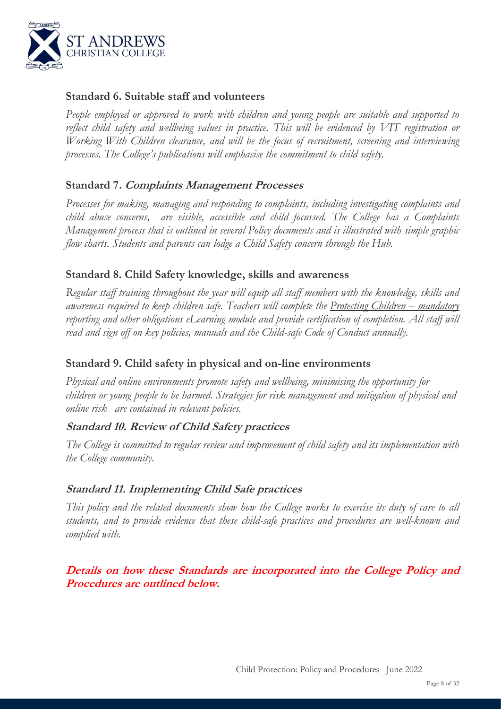

### **Standard 6. Suitable staff and volunteers**

*People employed or approved to work with children and young people are suitable and supported to reflect child safety and wellbeing values in practice. This will be evidenced by VIT registration or Working With Children clearance, and will be the focus of recruitment, screening and interviewing processes. The College's publications will emphasise the commitment to child safety.*

### **Standard 7. Complaints Management Processes**

*Processes for making, managing and responding to complaints, including investigating complaints and child abuse concerns, are visible, accessible and child focussed. The College has a Complaints Management process that is outlined in several Policy documents and is illustrated with simple graphic flow charts. Students and parents can lodge a Child Safety concern through the Hub.*

### **Standard 8. Child Safety knowledge, skills and awareness**

*Regular staff training throughout the year will equip all staff members with the knowledge, skills and awareness required to keep children safe.* Teachers will complete the Protecting Children – mandatory *reporting and other obligations eLearning module and provide certification of completion. All staff will read and sign off on key policies, manuals and the Child-safe Code of Conduct annually.*

### **Standard 9. Child safety in physical and on-line environments**

*Physical and online environments promote safety and wellbeing, minimising the opportunity for children or young people to be harmed. Strategies for risk management and mitigation of physical and online risk are contained in relevant policies.*

### **Standard 10. Review of Child Safety practices**

*The College is committed to regular review and improvement of child safety and its implementation with the College community.*

### **Standard 11. Implementing Child Safe practices**

*This policy and the related documents show how the College works to exercise its duty of care to all students, and to provide evidence that these child-safe practices and procedures are well-known and complied with.* 

**Details on how these Standards are incorporated into the College Policy and Procedures are outlined below.**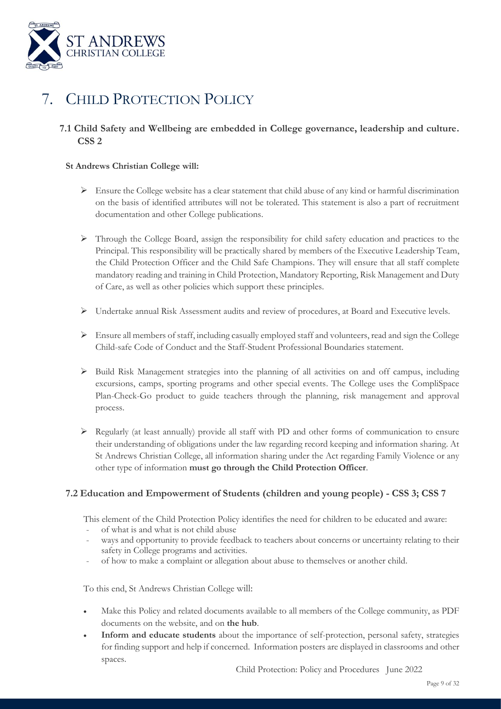

# 7. CHILD PROTECTION POLICY

### **7.1 Child Safety and Wellbeing are embedded in College governance, leadership and culture. CSS 2**

### **St Andrews Christian College will:**

- $\triangleright$  Ensure the College website has a clear statement that child abuse of any kind or harmful discrimination on the basis of identified attributes will not be tolerated. This statement is also a part of recruitment documentation and other College publications.
- ➢ Through the College Board, assign the responsibility for child safety education and practices to the Principal. This responsibility will be practically shared by members of the Executive Leadership Team, the Child Protection Officer and the Child Safe Champions. They will ensure that all staff complete mandatory reading and training in Child Protection, Mandatory Reporting, Risk Management and Duty of Care, as well as other policies which support these principles.
- ➢ Undertake annual Risk Assessment audits and review of procedures, at Board and Executive levels.
- ➢ Ensure all members of staff, including casually employed staff and volunteers, read and sign the College Child-safe Code of Conduct and the Staff-Student Professional Boundaries statement.
- ➢ Build Risk Management strategies into the planning of all activities on and off campus, including excursions, camps, sporting programs and other special events. The College uses the CompliSpace Plan-Check-Go product to guide teachers through the planning, risk management and approval process.
- ➢ Regularly (at least annually) provide all staff with PD and other forms of communication to ensure their understanding of obligations under the law regarding record keeping and information sharing. At St Andrews Christian College, all information sharing under the Act regarding Family Violence or any other type of information **must go through the Child Protection Officer**.

### **7.2 Education and Empowerment of Students (children and young people) - CSS 3; CSS 7**

This element of the Child Protection Policy identifies the need for children to be educated and aware:

- of what is and what is not child abuse
- ways and opportunity to provide feedback to teachers about concerns or uncertainty relating to their safety in College programs and activities.
- of how to make a complaint or allegation about abuse to themselves or another child.

To this end, St Andrews Christian College will:

- Make this Policy and related documents available to all members of the College community, as PDF documents on the website, and on **the hub**.
- **Inform and educate students** about the importance of self-protection, personal safety, strategies for finding support and help if concerned. Information posters are displayed in classrooms and other spaces.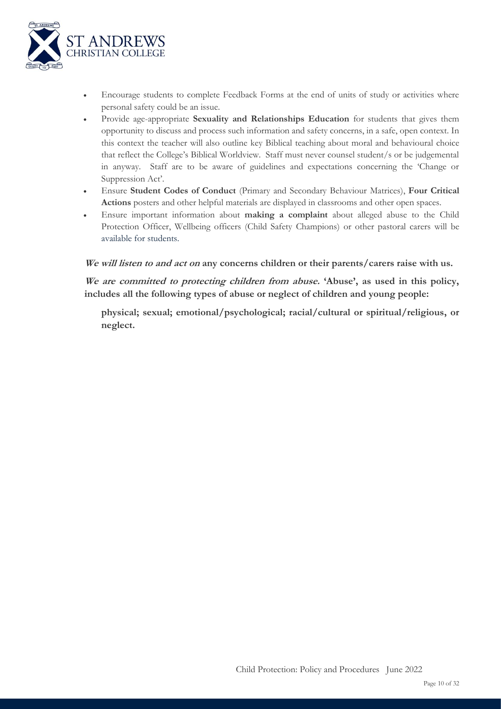

- Encourage students to complete Feedback Forms at the end of units of study or activities where personal safety could be an issue.
- Provide age-appropriate **Sexuality and Relationships Education** for students that gives them opportunity to discuss and process such information and safety concerns, in a safe, open context. In this context the teacher will also outline key Biblical teaching about moral and behavioural choice that reflect the College's Biblical Worldview. Staff must never counsel student/s or be judgemental in anyway. Staff are to be aware of guidelines and expectations concerning the 'Change or Suppression Act'.
- Ensure **Student Codes of Conduct** (Primary and Secondary Behaviour Matrices), **Four Critical Actions** posters and other helpful materials are displayed in classrooms and other open spaces.
- Ensure important information about **making a complaint** about alleged abuse to the Child Protection Officer, Wellbeing officers (Child Safety Champions) or other pastoral carers will be available for students.

**We will listen to and act on any concerns children or their parents/carers raise with us.** 

**We are committed to protecting children from abuse. 'Abuse', as used in this policy, includes all the following types of abuse or neglect of children and young people:** 

**physical; sexual; emotional/psychological; racial/cultural or spiritual/religious, or neglect.**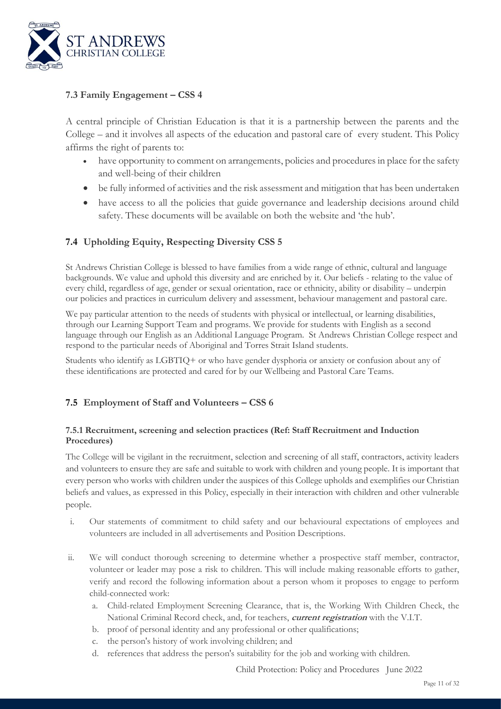

### **7.3 Family Engagement – CSS 4**

A central principle of Christian Education is that it is a partnership between the parents and the College – and it involves all aspects of the education and pastoral care of every student. This Policy affirms the right of parents to:

- have opportunity to comment on arrangements, policies and procedures in place for the safety and well-being of their children
- be fully informed of activities and the risk assessment and mitigation that has been undertaken
- have access to all the policies that guide governance and leadership decisions around child safety. These documents will be available on both the website and 'the hub'.

### **7.4 Upholding Equity, Respecting Diversity CSS 5**

St Andrews Christian College is blessed to have families from a wide range of ethnic, cultural and language backgrounds. We value and uphold this diversity and are enriched by it. Our beliefs - relating to the value of every child, regardless of age, gender or sexual orientation, race or ethnicity, ability or disability – underpin our policies and practices in curriculum delivery and assessment, behaviour management and pastoral care.

We pay particular attention to the needs of students with physical or intellectual, or learning disabilities, through our Learning Support Team and programs. We provide for students with English as a second language through our English as an Additional Language Program. St Andrews Christian College respect and respond to the particular needs of Aboriginal and Torres Strait Island students.

Students who identify as LGBTIQ+ or who have gender dysphoria or anxiety or confusion about any of these identifications are protected and cared for by our Wellbeing and Pastoral Care Teams.

### **7.5 Employment of Staff and Volunteers – CSS 6**

### **7.5.1 Recruitment, screening and selection practices (Ref: Staff Recruitment and Induction Procedures)**

The College will be vigilant in the recruitment, selection and screening of all staff, contractors, activity leaders and volunteers to ensure they are safe and suitable to work with children and young people. It is important that every person who works with children under the auspices of this College upholds and exemplifies our Christian beliefs and values, as expressed in this Policy, especially in their interaction with children and other vulnerable people.

- i. Our statements of commitment to child safety and our behavioural expectations of employees and volunteers are included in all advertisements and Position Descriptions.
- ii. We will conduct thorough screening to determine whether a prospective staff member, contractor, volunteer or leader may pose a risk to children. This will include making reasonable efforts to gather, verify and record the following information about a person whom it proposes to engage to perform child-connected work:
	- a. Child-related Employment Screening Clearance, that is, the Working With Children Check, the National Criminal Record check, and, for teachers, **current registration** with the V.I.T.
	- b. proof of personal identity and any professional or other qualifications;
	- c. the person's history of work involving children; and
	- d. references that address the person's suitability for the job and working with children.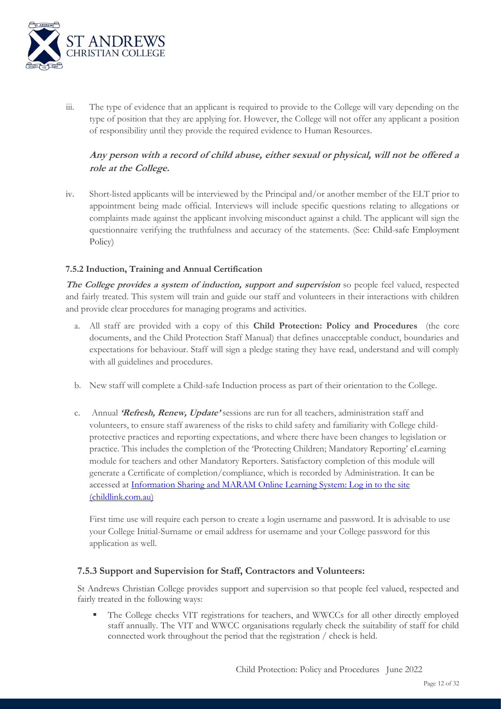

iii. The type of evidence that an applicant is required to provide to the College will vary depending on the type of position that they are applying for. However, the College will not offer any applicant a position of responsibility until they provide the required evidence to Human Resources.

### **Any person with a record of child abuse, either sexual or physical, will not be offered a role at the College.**

iv. Short-listed applicants will be interviewed by the Principal and/or another member of the ELT prior to appointment being made official. Interviews will include specific questions relating to allegations or complaints made against the applicant involving misconduct against a child. The applicant will sign the questionnaire verifying the truthfulness and accuracy of the statements. (See: Child-safe Employment Policy)

### **7.5.2 Induction, Training and Annual Certification**

**The College provides a system of induction, support and supervision** so people feel valued, respected and fairly treated. This system will train and guide our staff and volunteers in their interactions with children and provide clear procedures for managing programs and activities.

- a. All staff are provided with a copy of this **Child Protection: Policy and Procedures** (the core documents, and the Child Protection Staff Manual) that defines unacceptable conduct, boundaries and expectations for behaviour. Staff will sign a pledge stating they have read, understand and will comply with all guidelines and procedures.
- b. New staff will complete a Child-safe Induction process as part of their orientation to the College.
- c. Annual **'Refresh, Renew, Update'** sessions are run for all teachers, administration staff and volunteers, to ensure staff awareness of the risks to child safety and familiarity with College childprotective practices and reporting expectations, and where there have been changes to legislation or practice. This includes the completion of the 'Protecting Children; Mandatory Reporting' eLearning module for teachers and other Mandatory Reporters. Satisfactory completion of this module will generate a Certificate of completion/compliance, which is recorded by Administration. It can be accessed at [Information Sharing and MARAM Online Learning System: Log in to the site](https://elearn.childlink.com.au/login/index.php)  [\(childlink.com.au\)](https://elearn.childlink.com.au/login/index.php)

First time use will require each person to create a login username and password. It is advisable to use your College Initial-Surname or email address for username and your College password for this application as well.

### **7.5.3 Support and Supervision for Staff, Contractors and Volunteers:**

St Andrews Christian College provides support and supervision so that people feel valued, respected and fairly treated in the following ways:

The College checks VIT registrations for teachers, and WWCCs for all other directly employed staff annually. The VIT and WWCC organisations regularly check the suitability of staff for child connected work throughout the period that the registration / check is held.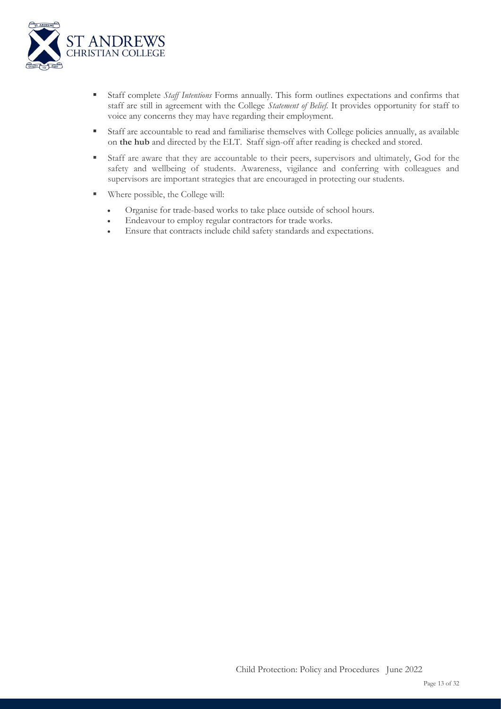

- Staff complete *Staff Intentions* Forms annually. This form outlines expectations and confirms that staff are still in agreement with the College *Statement of Belief.* It provides opportunity for staff to voice any concerns they may have regarding their employment.
- Staff are accountable to read and familiarise themselves with College policies annually, as available on **the hub** and directed by the ELT. Staff sign-off after reading is checked and stored.
- Staff are aware that they are accountable to their peers, supervisors and ultimately, God for the safety and wellbeing of students. Awareness, vigilance and conferring with colleagues and supervisors are important strategies that are encouraged in protecting our students.
- Where possible, the College will:
	- Organise for trade-based works to take place outside of school hours.
	- Endeavour to employ regular contractors for trade works.
	- Ensure that contracts include child safety standards and expectations.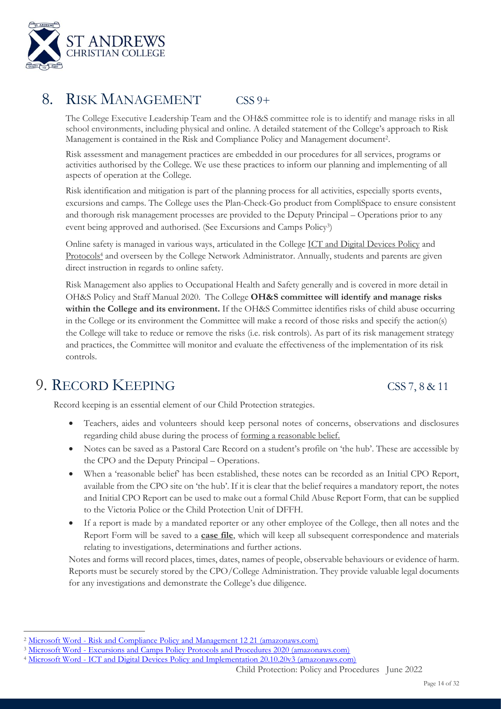

# 8. RISK MANAGEMENT CSS 9+

The College Executive Leadership Team and the OH&S committee role is to identify and manage risks in all school environments, including physical and online. A detailed statement of the College's approach to Risk Management is contained in the Risk and Compliance Policy and Management document<sup>2</sup> .

Risk assessment and management practices are embedded in our procedures for all services, programs or activities authorised by the College. We use these practices to inform our planning and implementing of all aspects of operation at the College.

Risk identification and mitigation is part of the planning process for all activities, especially sports events, excursions and camps. The College uses the Plan-Check-Go product from CompliSpace to ensure consistent and thorough risk management processes are provided to the Deputy Principal – Operations prior to any event being approved and authorised. (See Excursions and Camps Policy<sup>3</sup>)

Online safety is managed in various ways, articulated in the College ICT and Digital Devices Policy and Protocols<sup>4</sup> and overseen by the College Network Administrator. Annually, students and parents are given direct instruction in regards to online safety.

Risk Management also applies to Occupational Health and Safety generally and is covered in more detail in OH&S Policy and Staff Manual 2020. The College **OH&S committee will identify and manage risks within the College and its environment.** If the OH&S Committee identifies risks of child abuse occurring in the College or its environment the Committee will make a record of those risks and specify the action(s) the College will take to reduce or remove the risks (i.e. risk controls). As part of its risk management strategy and practices, the Committee will monitor and evaluate the effectiveness of the implementation of its risk controls.

# 9. RECORD KEEPING CSS 7, 8 & 11

Record keeping is an essential element of our Child Protection strategies.

- Teachers, aides and volunteers should keep personal notes of concerns, observations and disclosures regarding child abuse during the process of forming a reasonable belief.
- Notes can be saved as a Pastoral Care Record on a student's profile on 'the hub'. These are accessible by the CPO and the Deputy Principal – Operations.
- When a 'reasonable belief' has been established, these notes can be recorded as an Initial CPO Report, available from the CPO site on 'the hub'. If it is clear that the belief requires a mandatory report, the notes and Initial CPO Report can be used to make out a formal Child Abuse Report Form, that can be supplied to the Victoria Police or the Child Protection Unit of DFFH.
- If a report is made by a mandated reporter or any other employee of the College, then all notes and the Report Form will be saved to a **case file**, which will keep all subsequent correspondence and materials relating to investigations, determinations and further actions.

Notes and forms will record places, times, dates, names of people, observable behaviours or evidence of harm. Reports must be securely stored by the CPO/College Administration. They provide valuable legal documents for any investigations and demonstrate the College's due diligence.

<sup>2</sup> Microsoft Word - [Risk and Compliance Policy and Management 12 21 \(amazonaws.com\)](https://s3.ap-southeast-2.amazonaws.com/sbx.ap-southeast-2.saccl/storage/38480/3e47a/81d09/320a6/7e14e/28b1c/5d5cf/5eb99/384803e47a81d09320a67e14e28b1c5d5cf5eb99?response-cache-control=no-store&response-content-disposition=inline%3B%20filename%3D%22Risk%20and%20Compliance%20Policy%20and%20Management%2012%2021.pdf%22&response-content-type=application%2Fpdf&response-expires=Thu%2C%2016%20Jun%202022%2004%3A39%3A20%20GMT&X-Amz-Content-Sha256=UNSIGNED-PAYLOAD&X-Amz-Algorithm=AWS4-HMAC-SHA256&X-Amz-Credential=AKIAW5V2PMJP4XPKUJEH%2F20220615%2Fap-southeast-2%2Fs3%2Faws4_request&X-Amz-Date=20220615T043920Z&X-Amz-SignedHeaders=host&X-Amz-Expires=86400&X-Amz-Signature=aaa6d35c4353d57880893f9df93a9aed0c5d46e61a4a88d33c82bf4768e8f404)

<sup>3</sup> Microsoft Word - [Excursions and Camps Policy Protocols and Procedures 2020 \(amazonaws.com\)](https://s3.ap-southeast-2.amazonaws.com/sbx.ap-southeast-2.saccl/storage/eeaba/3a0cc/167f7/c9820/ff13b/a26f0/c71e2/9a29d/eeaba3a0cc167f7c9820ff13ba26f0c71e29a29d?response-cache-control=no-store&response-content-disposition=inline%3B%20filename%3D%22Excursions%20and%20Camps%20Policy%20Protocols%20and%20Procedures%202020.pdf%22&response-content-type=application%2Fpdf&response-expires=Thu%2C%2016%20Jun%202022%2004%3A38%3A24%20GMT&X-Amz-Content-Sha256=UNSIGNED-PAYLOAD&X-Amz-Algorithm=AWS4-HMAC-SHA256&X-Amz-Credential=AKIAW5V2PMJP4XPKUJEH%2F20220615%2Fap-southeast-2%2Fs3%2Faws4_request&X-Amz-Date=20220615T043824Z&X-Amz-SignedHeaders=host&X-Amz-Expires=86400&X-Amz-Signature=ac6450004ac3a2bc837492ed7e0a9980eadadcb41d6192735329e81948a37e6d)

<sup>4</sup> Microsoft Word - [ICT and Digital Devices Policy and Implementation 20.10.20v3 \(amazonaws.com\)](https://s3.ap-southeast-2.amazonaws.com/sbx.ap-southeast-2.saccl/storage/b3222/23c15/43541/5254b/70e57/8a535/9d207/f8346/b322223c15435415254b70e578a5359d207f8346?response-cache-control=no-store&response-content-disposition=inline%3B%20filename%3D%22ICT%20and%20Digital%20Devices%20Policy%20and%20Implementation%2020.10.20v3.pdf%22&response-content-type=application%2Fpdf&response-expires=Thu%2C%2016%20Jun%202022%2004%3A36%3A48%20GMT&X-Amz-Content-Sha256=UNSIGNED-PAYLOAD&X-Amz-Algorithm=AWS4-HMAC-SHA256&X-Amz-Credential=AKIAW5V2PMJP4XPKUJEH%2F20220615%2Fap-southeast-2%2Fs3%2Faws4_request&X-Amz-Date=20220615T043649Z&X-Amz-SignedHeaders=host&X-Amz-Expires=86399&X-Amz-Signature=773fe2a12a703f6494fd6950f872393cfb7df266d975c4a365f7570de5f88e7a)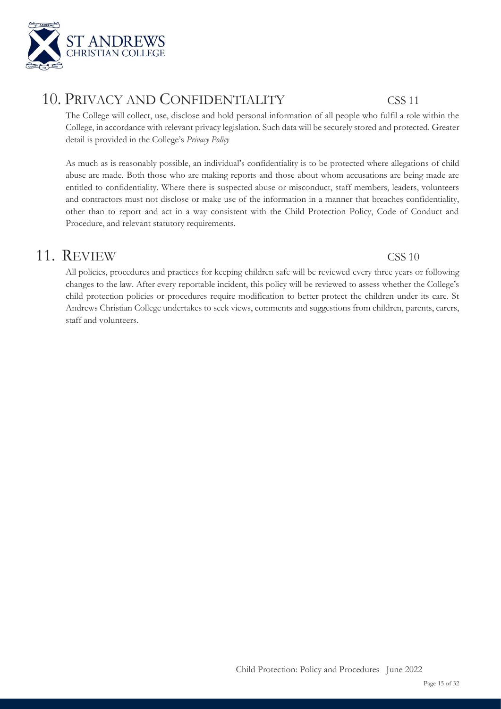

# 10. PRIVACY AND CONFIDENTIALITY CSS 11

The College will collect, use, disclose and hold personal information of all people who fulfil a role within the College, in accordance with relevant privacy legislation. Such data will be securely stored and protected. Greater detail is provided in the College's *Privacy Policy*

As much as is reasonably possible, an individual's confidentiality is to be protected where allegations of child abuse are made. Both those who are making reports and those about whom accusations are being made are entitled to confidentiality. Where there is suspected abuse or misconduct, staff members, leaders, volunteers and contractors must not disclose or make use of the information in a manner that breaches confidentiality, other than to report and act in a way consistent with the Child Protection Policy, Code of Conduct and Procedure, and relevant statutory requirements.

# 11. REVIEW CSS 10

All policies, procedures and practices for keeping children safe will be reviewed every three years or following changes to the law. After every reportable incident, this policy will be reviewed to assess whether the College's child protection policies or procedures require modification to better protect the children under its care. St Andrews Christian College undertakes to seek views, comments and suggestions from children, parents, carers, staff and volunteers.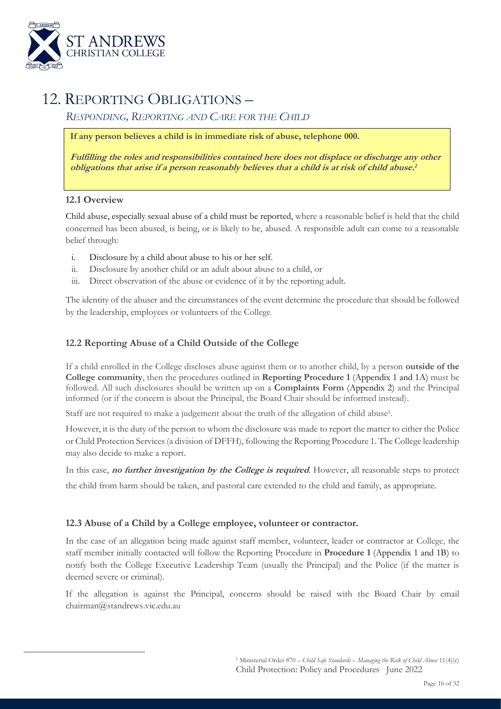

# 12. REPORTING OBLIGATIONS –

*RESPONDING, REPORTING AND CARE FOR THE CHILD*

**If any person believes a child is in immediate risk of abuse, telephone 000.**

**Fulfilling the roles and responsibilities contained here does not displace or discharge any other obligations that arise if a person reasonably believes that a child is at risk of child abuse. 1**

### **12.1 Overview**

Child abuse, especially sexual abuse of a child must be reported, where a reasonable belief is held that the child concerned has been abused, is being, or is likely to be, abused. A responsible adult can come to a reasonable belief through:

- i. Disclosure by a child about abuse to his or her self.
- ii. Disclosure by another child or an adult about abuse to a child, or
- iii. Direct observation of the abuse or evidence of it by the reporting adult.

The identity of the abuser and the circumstances of the event determine the procedure that should be followed by the leadership, employees or volunteers of the College.

### **12.2 Reporting Abuse of a Child Outside of the College**

If a child enrolled in the College discloses abuse against them or to another child, by a person **outside of the College community**, then the procedures outlined in **Reporting Procedure 1** (Appendix 1 and 1A) must be followed. All such disclosures should be written up on a **Complaints Form** (Appendix 2) and the Principal informed (or if the concern is about the Principal, the Board Chair should be informed instead).

Staff are not required to make a judgement about the truth of the allegation of child abuse<sup>5</sup>.

However, it is the duty of the person to whom the disclosure was made to report the matter to either the Police or Child Protection Services (a division of DFFH), following the Reporting Procedure 1. The College leadership may also decide to make a report.

In this case, **no further investigation by the College is required**. However, all reasonable steps to protect

the child from harm should be taken, and pastoral care extended to the child and family, as appropriate.

### **12.3 Abuse of a Child by a College employee, volunteer or contractor.**

In the case of an allegation being made against staff member, volunteer, leader or contractor at College, the staff member initially contacted will follow the Reporting Procedure in **Procedure 1** (Appendix 1 and 1B) to notify both the College Executive Leadership Team (usually the Principal) and the Police (if the matter is deemed severe or criminal).

If the allegation is against the Principal, concerns should be raised with the Board Chair by email chairman@standrews.vic.edu.au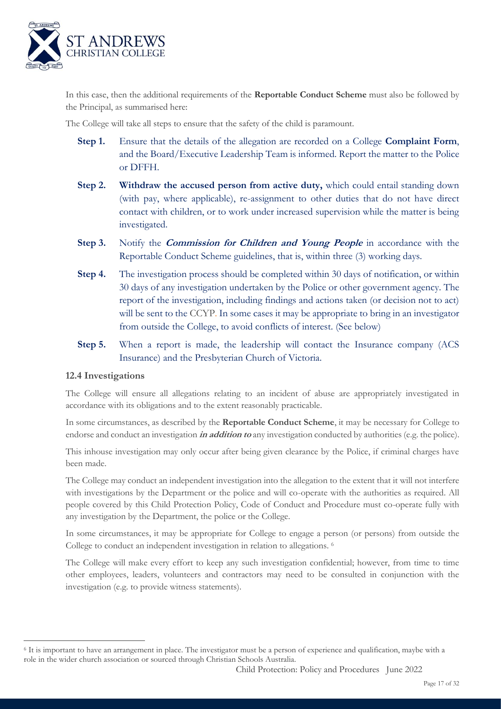

In this case, then the additional requirements of the **Reportable Conduct Scheme** must also be followed by the Principal, as summarised here:

The College will take all steps to ensure that the safety of the child is paramount.

- **Step 1.** Ensure that the details of the allegation are recorded on a College **Complaint Form**, and the Board/Executive Leadership Team is informed. Report the matter to the Police or DFFH.
- **Step 2. Withdraw the accused person from active duty,** which could entail standing down (with pay, where applicable), re-assignment to other duties that do not have direct contact with children, or to work under increased supervision while the matter is being investigated.
- **Step 3.** Notify the *Commission for Children and Young People* in accordance with the Reportable Conduct Scheme guidelines, that is, within three (3) working days.
- **Step 4.** The investigation process should be completed within 30 days of notification, or within 30 days of any investigation undertaken by the Police or other government agency. The report of the investigation, including findings and actions taken (or decision not to act) will be sent to the CCYP. In some cases it may be appropriate to bring in an investigator from outside the College, to avoid conflicts of interest. (See below)
- **Step 5.** When a report is made, the leadership will contact the Insurance company (ACS Insurance) and the Presbyterian Church of Victoria.

### **12.4 Investigations**

The College will ensure all allegations relating to an incident of abuse are appropriately investigated in accordance with its obligations and to the extent reasonably practicable.

In some circumstances, as described by the **Reportable Conduct Scheme**, it may be necessary for College to endorse and conduct an investigation **in addition to** any investigation conducted by authorities (e.g. the police).

This inhouse investigation may only occur after being given clearance by the Police, if criminal charges have been made.

The College may conduct an independent investigation into the allegation to the extent that it will not interfere with investigations by the Department or the police and will co-operate with the authorities as required. All people covered by this Child Protection Policy, Code of Conduct and Procedure must co-operate fully with any investigation by the Department, the police or the College.

In some circumstances, it may be appropriate for College to engage a person (or persons) from outside the College to conduct an independent investigation in relation to allegations. <sup>6</sup>

The College will make every effort to keep any such investigation confidential; however, from time to time other employees, leaders, volunteers and contractors may need to be consulted in conjunction with the investigation (e.g. to provide witness statements).

<sup>6</sup> It is important to have an arrangement in place. The investigator must be a person of experience and qualification, maybe with a role in the wider church association or sourced through Christian Schools Australia.

Child Protection: Policy and Procedures June 2022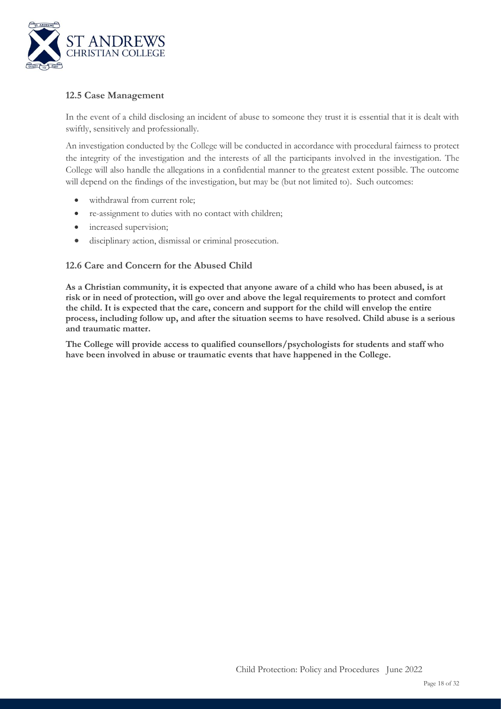

### **12.5 Case Management**

In the event of a child disclosing an incident of abuse to someone they trust it is essential that it is dealt with swiftly, sensitively and professionally.

An investigation conducted by the College will be conducted in accordance with procedural fairness to protect the integrity of the investigation and the interests of all the participants involved in the investigation. The College will also handle the allegations in a confidential manner to the greatest extent possible. The outcome will depend on the findings of the investigation, but may be (but not limited to). Such outcomes:

- withdrawal from current role;
- re-assignment to duties with no contact with children;
- increased supervision;
- disciplinary action, dismissal or criminal prosecution.

### **12.6 Care and Concern for the Abused Child**

**As a Christian community, it is expected that anyone aware of a child who has been abused, is at risk or in need of protection, will go over and above the legal requirements to protect and comfort the child. It is expected that the care, concern and support for the child will envelop the entire process, including follow up, and after the situation seems to have resolved. Child abuse is a serious and traumatic matter.** 

**The College will provide access to qualified counsellors/psychologists for students and staff who have been involved in abuse or traumatic events that have happened in the College.**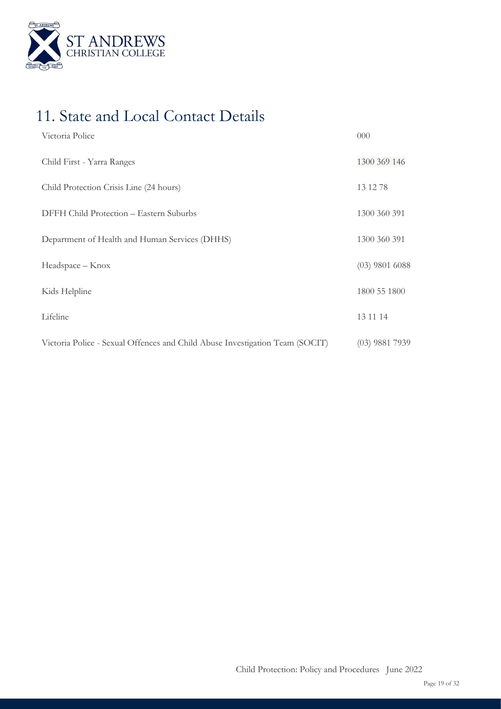

# 11. State and Local Contact Details

| Victoria Police                                                              | 000              |
|------------------------------------------------------------------------------|------------------|
| Child First - Yarra Ranges                                                   | 1300 369 146     |
| Child Protection Crisis Line (24 hours)                                      | 13 12 78         |
| DFFH Child Protection - Eastern Suburbs                                      | 1300 360 391     |
| Department of Health and Human Services (DHHS)                               | 1300 360 391     |
| Headspace - Knox                                                             | $(03)$ 9801 6088 |
| Kids Helpline                                                                | 1800 55 1800     |
| Lifeline                                                                     | 13 11 14         |
| Victoria Police - Sexual Offences and Child Abuse Investigation Team (SOCIT) | $(03)$ 9881 7939 |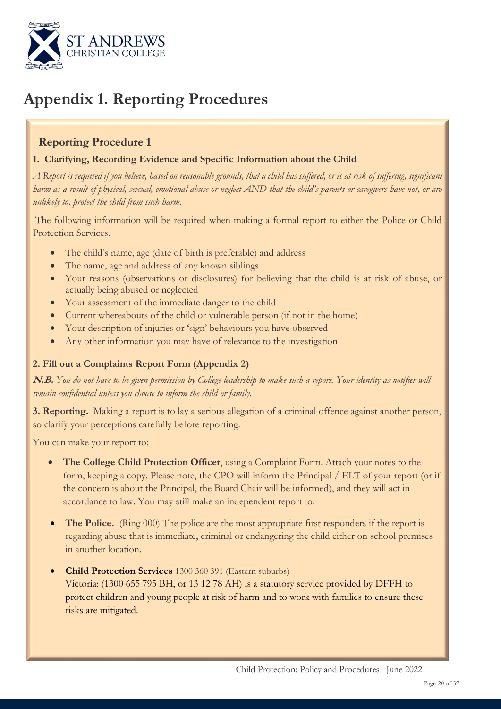

# **Appendix 1. Reporting Procedures**

### **Reporting Procedure 1**

### **1. Clarifying, Recording Evidence and Specific Information about the Child**

*A Report is required if you believe, based on reasonable grounds, that a child has suffered, or is at risk of suffering, significant harm as a result of physical, sexual, emotional abuse or neglect AND that the child's parents or caregivers have not, or are unlikely to, protect the child from such harm.*

The following information will be required when making a formal report to either the Police or Child Protection Services.

- The child's name, age (date of birth is preferable) and address
- The name, age and address of any known siblings
- Your reasons (observations or disclosures) for believing that the child is at risk of abuse, or actually being abused or neglected
- Your assessment of the immediate danger to the child
- Current whereabouts of the child or vulnerable person (if not in the home)
- Your description of injuries or 'sign' behaviours you have observed
- Any other information you may have of relevance to the investigation

### **2. Fill out a Complaints Report Form (Appendix 2)**

**N.B.** *You do not have to be given permission by College leadership to make such a report. Your identity as notifier will remain confidential unless you choose to inform the child or family.*

**3. Reporting.** Making a report is to lay a serious allegation of a criminal offence against another person, so clarify your perceptions carefully before reporting.

You can make your report to:

- **The College Child Protection Officer**, using a Complaint Form. Attach your notes to the form, keeping a copy. Please note, the CPO will inform the Principal / ELT of your report (or if the concern is about the Principal, the Board Chair will be informed), and they will act in accordance to law. You may still make an independent report to:
- The Police. (Ring 000) The police are the most appropriate first responders if the report is regarding abuse that is immediate, criminal or endangering the child either on school premises in another location.
- **Child Protection Services** 1300 360 391 (Eastern suburbs) Victoria: (1300 655 795 BH, or 13 12 78 AH) is a statutory service provided by DFFH to protect children and young people at risk of harm and to work with families to ensure these risks are mitigated.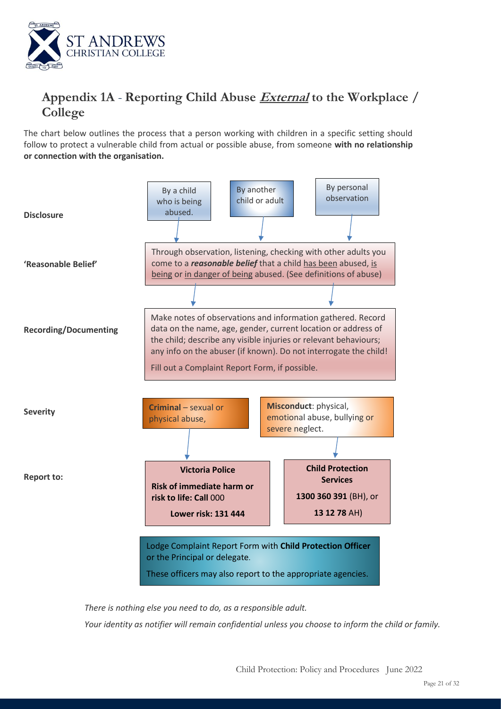

## **Appendix 1A** - **Reporting Child Abuse External to the Workplace / College**

The chart below outlines the process that a person working with children in a specific setting should follow to protect a vulnerable child from actual or possible abuse, from someone **with no relationship or connection with the organisation.**



*There is nothing else you need to do, as a responsible adult.* 

*Your identity as notifier will remain confidential unless you choose to inform the child or family.*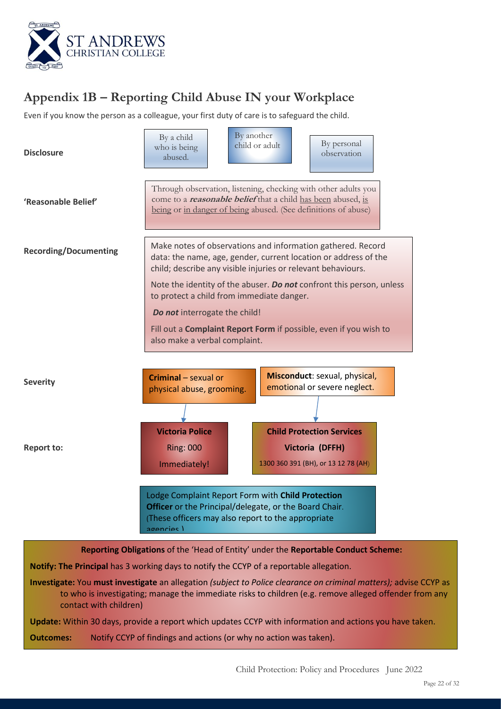

# **Appendix 1B – Reporting Child Abuse IN your Workplace**

Even if you know the person as a colleague, your first duty of care is to safeguard the child.

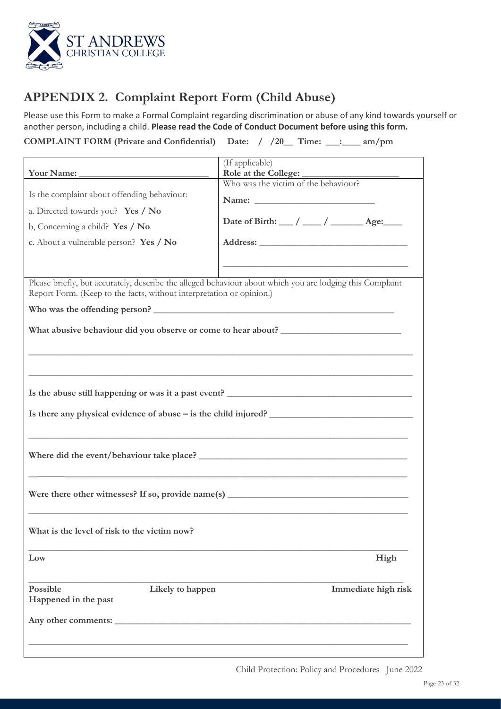

# **APPENDIX 2. Complaint Report Form (Child Abuse)**

Please use this Form to make a Formal Complaint regarding discrimination or abuse of any kind towards yourself or another person, including a child. **Please read the Code of Conduct Document before using this form.**

**COMPLAINT FORM (Private and Confidential) Date: / /20\_\_ Time: \_\_\_:\_\_\_\_ am/pm**

| Your Name:                                                                                                                                                                                                         | (If applicable)<br>Role at the College:                                                                                                                                                                 |  |  |  |
|--------------------------------------------------------------------------------------------------------------------------------------------------------------------------------------------------------------------|---------------------------------------------------------------------------------------------------------------------------------------------------------------------------------------------------------|--|--|--|
| Is the complaint about offending behaviour:<br>a. Directed towards you? Yes / No<br>b, Concerning a child? Yes / No<br>c. About a vulnerable person? Yes / No                                                      | Who was the victim of the behaviour?<br>Date of Birth: __/ __/ ___/ ______ Age:<br><u> 1989 - Johann Stein, marwolaethau a bhann an t-Amhair ann an t-Amhair an t-Amhair an t-Amhair an t-Amhair an</u> |  |  |  |
| Please briefly, but accurately, describe the alleged behaviour about which you are lodging this Complaint<br>Report Form. (Keep to the facts, without interpretation or opinion.)<br>Who was the offending person? |                                                                                                                                                                                                         |  |  |  |
| What abusive behaviour did you observe or come to hear about?                                                                                                                                                      |                                                                                                                                                                                                         |  |  |  |
| Is there any physical evidence of abuse – is the child injured?                                                                                                                                                    |                                                                                                                                                                                                         |  |  |  |
| Where did the event/behaviour take place?                                                                                                                                                                          |                                                                                                                                                                                                         |  |  |  |
| Were there other witnesses? If so, provide name(s) $\qquad \qquad$                                                                                                                                                 |                                                                                                                                                                                                         |  |  |  |
| What is the level of risk to the victim now?                                                                                                                                                                       |                                                                                                                                                                                                         |  |  |  |
| Low                                                                                                                                                                                                                | High                                                                                                                                                                                                    |  |  |  |
| Possible<br>Likely to happen<br>Happened in the past                                                                                                                                                               | Immediate high risk                                                                                                                                                                                     |  |  |  |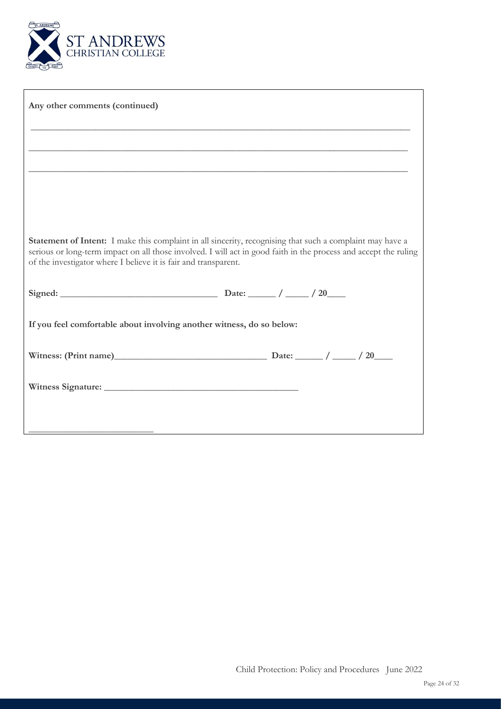

| Any other comments (continued)                                        |                                                                                                                                                                                                                               |
|-----------------------------------------------------------------------|-------------------------------------------------------------------------------------------------------------------------------------------------------------------------------------------------------------------------------|
|                                                                       |                                                                                                                                                                                                                               |
|                                                                       |                                                                                                                                                                                                                               |
|                                                                       |                                                                                                                                                                                                                               |
|                                                                       |                                                                                                                                                                                                                               |
|                                                                       |                                                                                                                                                                                                                               |
| of the investigator where I believe it is fair and transparent.       | Statement of Intent: I make this complaint in all sincerity, recognising that such a complaint may have a<br>serious or long-term impact on all those involved. I will act in good faith in the process and accept the ruling |
|                                                                       |                                                                                                                                                                                                                               |
| If you feel comfortable about involving another witness, do so below: |                                                                                                                                                                                                                               |
|                                                                       |                                                                                                                                                                                                                               |
|                                                                       |                                                                                                                                                                                                                               |
|                                                                       |                                                                                                                                                                                                                               |
|                                                                       |                                                                                                                                                                                                                               |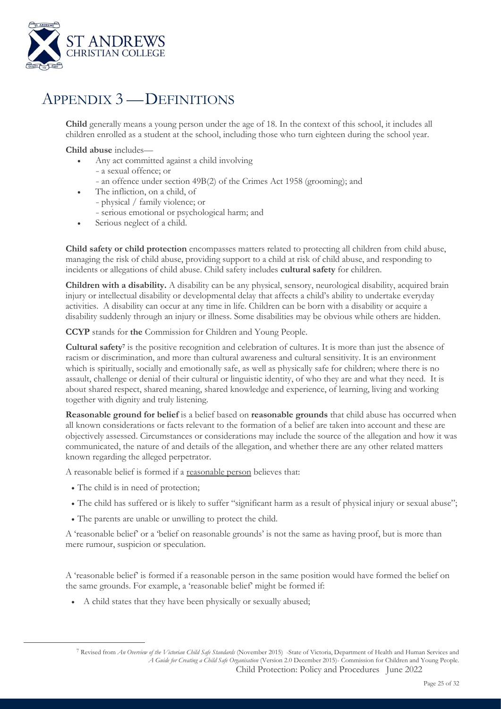

# APPENDIX 3 —DEFINITIONS

**Child** generally means a young person under the age of 18. In the context of this school, it includes all children enrolled as a student at the school, including those who turn eighteen during the school year.

**Child abuse** includes—

- Any act committed against a child involving
	- a sexual offence; or
	- an offence under section 49B(2) of the Crimes Act 1958 (grooming); and
- The infliction, on a child, of
	- physical / family violence; or
	- serious emotional or psychological harm; and
- Serious neglect of a child.

**Child safety or child protection** encompasses matters related to protecting all children from child abuse, managing the risk of child abuse, providing support to a child at risk of child abuse, and responding to incidents or allegations of child abuse. Child safety includes **cultural safety** for children.

**Children with a disability.** A disability can be any physical, sensory, neurological disability, acquired brain injury or intellectual disability or developmental delay that affects a child's ability to undertake everyday activities. A disability can occur at any time in life. Children can be born with a disability or acquire a disability suddenly through an injury or illness. Some disabilities may be obvious while others are hidden.

**CCYP** stands for **the** Commission for Children and Young People.

**Cultural safety<sup>7</sup>** is the positive recognition and celebration of cultures. It is more than just the absence of racism or discrimination, and more than cultural awareness and cultural sensitivity. It is an environment which is spiritually, socially and emotionally safe, as well as physically safe for children; where there is no assault, challenge or denial of their cultural or linguistic identity, of who they are and what they need. It is about shared respect, shared meaning, shared knowledge and experience, of learning, living and working together with dignity and truly listening.

**Reasonable ground for belief** is a belief based on **reasonable grounds** that child abuse has occurred when all known considerations or facts relevant to the formation of a belief are taken into account and these are objectively assessed. Circumstances or considerations may include the source of the allegation and how it was communicated, the nature of and details of the allegation, and whether there are any other related matters known regarding the alleged perpetrator.

A reasonable belief is formed if a reasonable person believes that:

- The child is in need of protection;
- The child has suffered or is likely to suffer "significant harm as a result of physical injury or sexual abuse";
- The parents are unable or unwilling to protect the child.

A 'reasonable belief' or a 'belief on reasonable grounds' is not the same as having proof, but is more than mere rumour, suspicion or speculation.

A 'reasonable belief' is formed if a reasonable person in the same position would have formed the belief on the same grounds. For example, a 'reasonable belief' might be formed if:

• A child states that they have been physically or sexually abused;

Child Protection: Policy and Procedures June 2022 <sup>7</sup> Revised from *An Overview of the Victorian Child Safe Standards* (November 2015) -State of Victoria, Department of Health and Human Services and *A Guide for Creating a Child Safe Organisation* (Version 2.0 December 2015)- Commission for Children and Young People.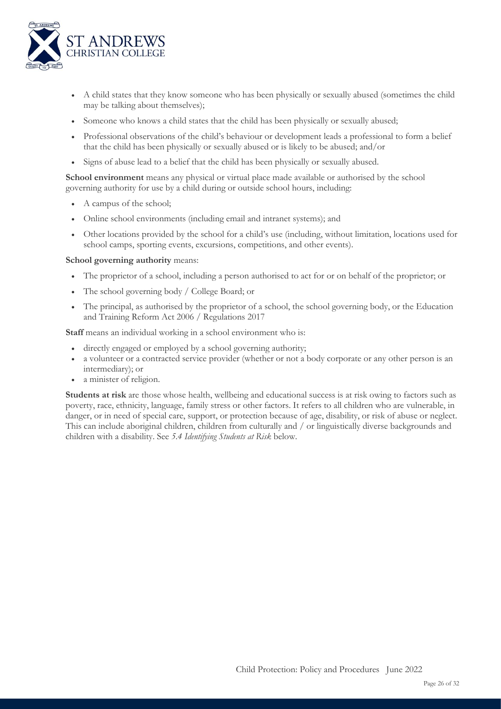

- A child states that they know someone who has been physically or sexually abused (sometimes the child may be talking about themselves);
- Someone who knows a child states that the child has been physically or sexually abused;
- Professional observations of the child's behaviour or development leads a professional to form a belief that the child has been physically or sexually abused or is likely to be abused; and/or
- Signs of abuse lead to a belief that the child has been physically or sexually abused.

**School environment** means any physical or virtual place made available or authorised by the school governing authority for use by a child during or outside school hours, including:

- A campus of the school;
- Online school environments (including email and intranet systems); and
- Other locations provided by the school for a child's use (including, without limitation, locations used for school camps, sporting events, excursions, competitions, and other events).

### **School governing authority** means:

- The proprietor of a school, including a person authorised to act for or on behalf of the proprietor; or
- The school governing body / College Board; or
- The principal, as authorised by the proprietor of a school, the school governing body, or the Education and Training Reform Act 2006 / Regulations 2017

**Staff** means an individual working in a school environment who is:

- directly engaged or employed by a school governing authority;
- a volunteer or a contracted service provider (whether or not a body corporate or any other person is an intermediary); or
- a minister of religion.

**Students at risk** are those whose health, wellbeing and educational success is at risk owing to factors such as poverty, race, ethnicity, language, family stress or other factors. It refers to all children who are vulnerable, in danger, or in need of special care, support, or protection because of age, disability, or risk of abuse or neglect. This can include aboriginal children, children from culturally and / or linguistically diverse backgrounds and children with a disability. See *5.4 Identifying Students at Risk* below.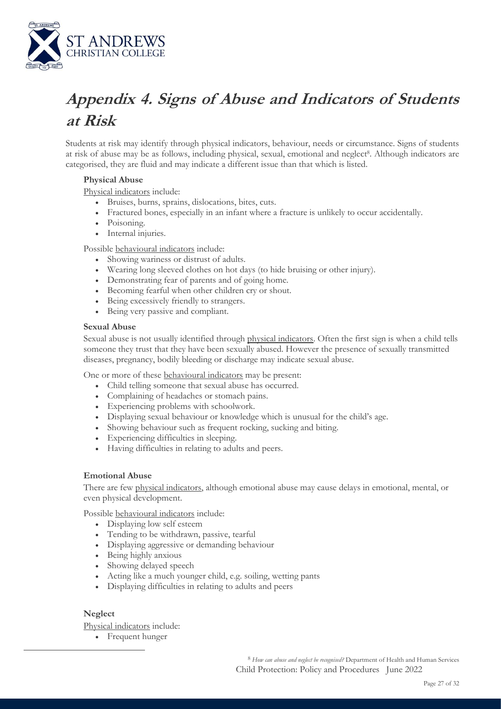

# **Appendix 4. Signs of Abuse and Indicators of Students at Risk**

Students at risk may identify through physical indicators, behaviour, needs or circumstance. Signs of students at risk of abuse may be as follows, including physical, sexual, emotional and neglect<sup>8</sup>. Although indicators are categorised, they are fluid and may indicate a different issue than that which is listed.

### **Physical Abuse**

Physical indicators include:

- Bruises, burns, sprains, dislocations, bites, cuts.
- Fractured bones, especially in an infant where a fracture is unlikely to occur accidentally.
- Poisoning.
- Internal injuries.

Possible behavioural indicators include:

- Showing wariness or distrust of adults.
- Wearing long sleeved clothes on hot days (to hide bruising or other injury).
- Demonstrating fear of parents and of going home.
- Becoming fearful when other children cry or shout.
- Being excessively friendly to strangers.
- Being very passive and compliant.

### **Sexual Abuse**

Sexual abuse is not usually identified through physical indicators. Often the first sign is when a child tells someone they trust that they have been sexually abused. However the presence of sexually transmitted diseases, pregnancy, bodily bleeding or discharge may indicate sexual abuse.

One or more of these behavioural indicators may be present:

- Child telling someone that sexual abuse has occurred.
- Complaining of headaches or stomach pains.
- Experiencing problems with schoolwork.
- Displaying sexual behaviour or knowledge which is unusual for the child's age.
- Showing behaviour such as frequent rocking, sucking and biting.
- Experiencing difficulties in sleeping.
- Having difficulties in relating to adults and peers.

### **Emotional Abuse**

There are few physical indicators, although emotional abuse may cause delays in emotional, mental, or even physical development.

Possible behavioural indicators include:

- Displaying low self esteem
- Tending to be withdrawn, passive, tearful
- Displaying aggressive or demanding behaviour
- Being highly anxious
- Showing delayed speech
- Acting like a much younger child, e.g. soiling, wetting pants
- Displaying difficulties in relating to adults and peers

### **Neglect**

Physical indicators include:

• Frequent hunger

Child Protection: Policy and Procedures June 2022 <sup>8</sup> *How can abuse and neglect be recognised?* Department of Health and Human Services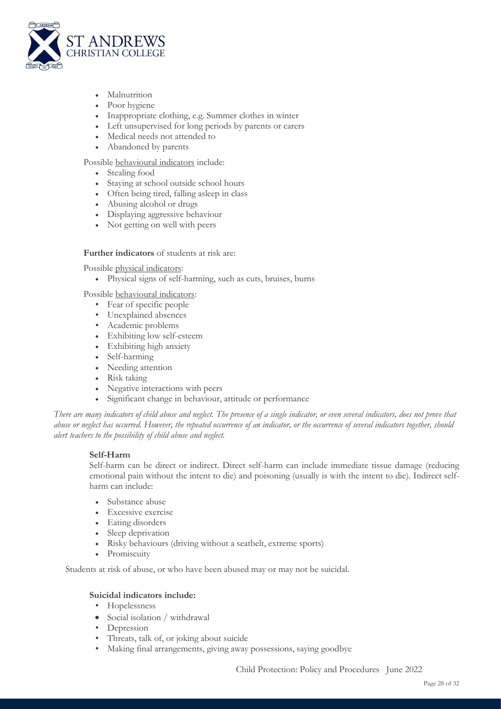

- **Malnutrition**
- Poor hygiene
- Inappropriate clothing, e.g. Summer clothes in winter
- Left unsupervised for long periods by parents or carers
- Medical needs not attended to
- Abandoned by parents

Possible behavioural indicators include:

- Stealing food
- Staying at school outside school hours
- Often being tired, falling asleep in class
- Abusing alcohol or drugs
- Displaying aggressive behaviour
- Not getting on well with peers

### **Further indicators** of students at risk are:

Possible physical indicators:

• Physical signs of self-harming, such as cuts, bruises, burns

Possible behavioural indicators:

- Fear of specific people
- Unexplained absences
- Academic problems
- Exhibiting low self-esteem
- Exhibiting high anxiety
- Self-harming
- Needing attention
- Risk taking
- Negative interactions with peers
- Significant change in behaviour, attitude or performance

*There are many indicators of child abuse and neglect. The presence of a single indicator, or even several indicators, does not prove that abuse or neglect has occurred. However, the repeated occurrence of an indicator, or the occurrence of several indicators together, should alert teachers to the possibility of child abuse and neglect.*

### **Self-Harm**

Self-harm can be direct or indirect. Direct self-harm can include immediate tissue damage (reducing emotional pain without the intent to die) and poisoning (usually is with the intent to die). Indirect selfharm can include:

- Substance abuse
- Excessive exercise
- Eating disorders
- Sleep deprivation
- Risky behaviours (driving without a seatbelt, extreme sports)
- Promiscuity

Students at risk of abuse, or who have been abused may or may not be suicidal.

### **Suicidal indicators include:**

- Hopelessness
- Social isolation / withdrawal
- **Depression**
- Threats, talk of, or joking about suicide
- Making final arrangements, giving away possessions, saying goodbye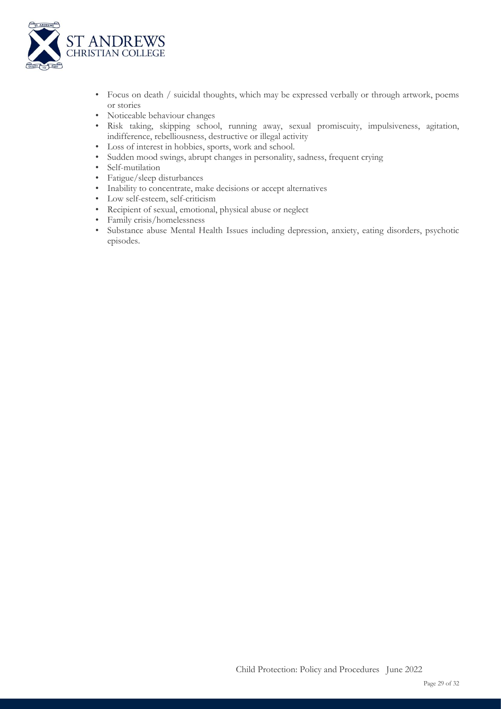

- Focus on death / suicidal thoughts, which may be expressed verbally or through artwork, poems or stories
- Noticeable behaviour changes
- Risk taking, skipping school, running away, sexual promiscuity, impulsiveness, agitation, indifference, rebelliousness, destructive or illegal activity
- Loss of interest in hobbies, sports, work and school.
- Sudden mood swings, abrupt changes in personality, sadness, frequent crying
- Self-mutilation
- Fatigue/sleep disturbances
- Inability to concentrate, make decisions or accept alternatives
- Low self-esteem, self-criticism
- Recipient of sexual, emotional, physical abuse or neglect
- Family crisis/homelessness
- Substance abuse Mental Health Issues including depression, anxiety, eating disorders, psychotic episodes.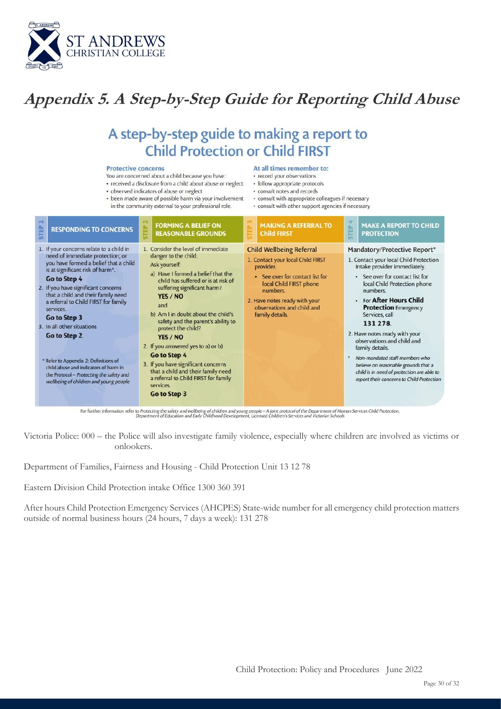

# **Appendix 5. A Step-by-Step Guide for Reporting Child Abuse**

# A step-by-step guide to making a report to **Child Protection or Child FIRST**

### **Protective concerns**

- You are concerned about a child because you have:
- · received a disclosure from a child about abuse or neglect
- · observed indicators of abuse or neglect
- been made aware of possible harm via your involvement in the community external to your professional role.

### At all times remember to:

- · record your observations
- · follow appropriate protocols
- · consult notes and records
- · consult with appropriate colleagues if necessary
- · consult with other support agencies if necessary

| <b>STEP</b><br><b>RESPONDING TO CONCERNS</b>                                                                                                                                                                                                                                                                                                                                                                                                                                                                                                       | $\sim$<br><b>FORMING A BELIEF ON</b><br><b>STEP</b><br><b>REASONABLE GROUNDS</b>                                                                                                                                                                                                                                                                                                                                                                                                                                                 | <b>MAKING A REFERRAL TO</b><br>Δ.<br><b>Child FIRST</b><br>н                                                                                                                                                                                  | 唑<br><b>MAKE A REPORT TO CHILD</b><br>b.<br>쁜<br><b>PROTECTION</b>                                                                                                                                                                                                                                                                                                                                                                                                                                                                  |
|----------------------------------------------------------------------------------------------------------------------------------------------------------------------------------------------------------------------------------------------------------------------------------------------------------------------------------------------------------------------------------------------------------------------------------------------------------------------------------------------------------------------------------------------------|----------------------------------------------------------------------------------------------------------------------------------------------------------------------------------------------------------------------------------------------------------------------------------------------------------------------------------------------------------------------------------------------------------------------------------------------------------------------------------------------------------------------------------|-----------------------------------------------------------------------------------------------------------------------------------------------------------------------------------------------------------------------------------------------|-------------------------------------------------------------------------------------------------------------------------------------------------------------------------------------------------------------------------------------------------------------------------------------------------------------------------------------------------------------------------------------------------------------------------------------------------------------------------------------------------------------------------------------|
| 1. If your concerns relate to a child in<br>need of immediate protection; or<br>you have formed a belief that a child<br>is at significant risk of harm*.<br>Go to Step 4<br>2. If you have significant concerns<br>that a child and their family need<br>a referral to Child FIRST for family<br>services.<br>Go to Step 3<br>3. In all other situations<br>Go to Step 2.<br>* Refer to Appendix 2: Definitions of<br>child abuse and indicators of harm in<br>the Protocol - Protecting the safety and<br>wellbeing of children and young people | 1. Consider the level of immediate<br>danger to the child.<br>Ask yourself:<br>a) Have I formed a belief that the<br>child has suffered or is at risk of<br>suffering significant harm?<br>YES / NO<br>and<br>b) Am I in doubt about the child's<br>safety and the parent's ability to<br>protect the child?<br>YES / NO<br>2. If you answered yes to a) or b)<br>Go to Step 4<br>3. If you have significant concerns<br>that a child and their family need<br>a referral to Child FIRST for family<br>services.<br>Go to Step 3 | <b>Child Wellbeing Referral</b><br>1. Contact your local Child FIRST<br>provider.<br>• See over for contact list for<br>local Child FIRST phone<br>numbers.<br>2. Have notes ready with your<br>observations and child and<br>family details. | Mandatory/Protective Report*<br>1. Contact your local Child Protection<br>Intake provider immediately.<br>• See over for contact list for<br>local Child Protection phone<br>numbers.<br>• For After Hours Child<br><b>Protection</b> Emergency<br>Services, call<br>131 278<br>2. Have notes ready with your<br>observations and child and<br>family details.<br>Non-mandated staff members who<br>believe on reasonable grounds that a<br>child is in need of protection are able to<br>report their concerns to Child Protection |

For further information refer to Protecting the safety and wellbeing of children and young people - A joint protocol of the Department of Human Services Child Protection,<br>Department of Education and Early Childhood Develop

Victoria Police: 000 – the Police will also investigate family violence, especially where children are involved as victims or onlookers.

Department of Families, Fairness and Housing - Child Protection Unit 13 12 78

Eastern Division Child Protection intake Office 1300 360 391

After hours Child Protection Emergency Services (AHCPES) State-wide number for all emergency child protection matters outside of normal business hours (24 hours, 7 days a week): 131 278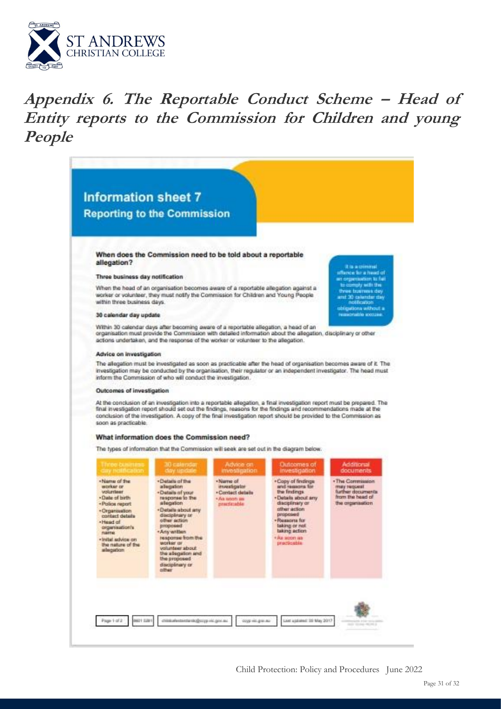

# **Appendix 6. The Reportable Conduct Scheme – Head of Entity reports to the Commission for Children and young People**